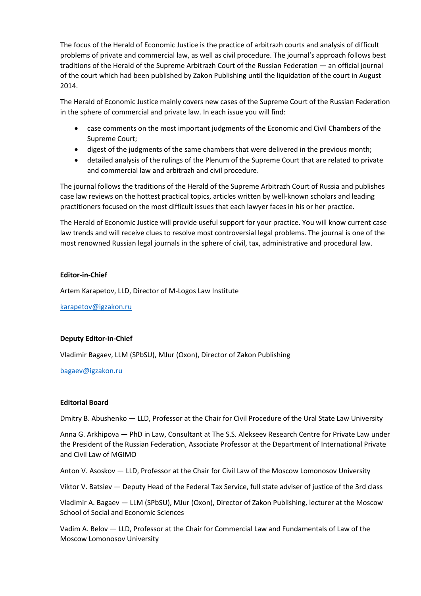The focus of the Herald of Economic Justice is the practice of arbitrazh courts and analysis of difficult problems of private and commercial law, as well as civil procedure. The journal's approach follows best traditions of the Herald of the Supreme Arbitrazh Court of the Russian Federation — an official journal of the court which had been published by Zakon Publishing until the liquidation of the court in August 2014.

The Herald of Economic Justice mainly covers new cases of the Supreme Court of the Russian Federation in the sphere of commercial and private law. In each issue you will find:

- case comments on the most important judgments of the Economic and Civil Chambers of the Supreme Court;
- digest of the judgments of the same chambers that were delivered in the previous month;
- detailed analysis of the rulings of the Plenum of the Supreme Court that are related to private and commercial law and arbitrazh and civil procedure.

The journal follows the traditions of the Herald of the Supreme Arbitrazh Court of Russia and publishes case law reviews on the hottest practical topics, articles written by well-known scholars and leading practitioners focused on the most difficult issues that each lawyer faces in his or her practice.

The Herald of Economic Justice will provide useful support for your practice. You will know current case law trends and will receive clues to resolve most controversial legal problems. The journal is one of the most renowned Russian legal journals in the sphere of civil, tax, administrative and procedural law.

## **Editor-in-Chief**

Artem Karapetov, LLD, Director of M-Logos Law Institute

[karapetov@igzakon.ru](mailto:karapetov@igzakon.ru)

# **Deputy Editor-in-Chief**

Vladimir Bagaev, LLM (SPbSU), MJur (Oxon), Director of Zakon Publishing

## [bagaev@igzakon.ru](mailto:bagaev@igzakon.ru)

## **Editorial Board**

Dmitry B. Abushenko — LLD, Professor at the Chair for Civil Procedure of the Ural State Law University

Anna G. Arkhipova — PhD in Law, Consultant at The S.S. Alekseev Research Centre for Private Law under the President of the Russian Federation, Associate Professor at the Department of International Private and Civil Law of MGIMO

Anton V. Asoskov — LLD, Professor at the Chair for Civil Law of the Moscow Lomonosov University

Viktor V. Batsiev — Deputy Head of the Federal Tax Service, full state adviser of justice of the 3rd class

Vladimir A. Bagaev — LLM (SPbSU), MJur (Oxon), Director of Zakon Publishing, lecturer at the Moscow School of Social and Economic Sciences

Vadim A. Belov — LLD, Professor at the Chair for Commercial Law and Fundamentals of Law of the Moscow Lomonosov University